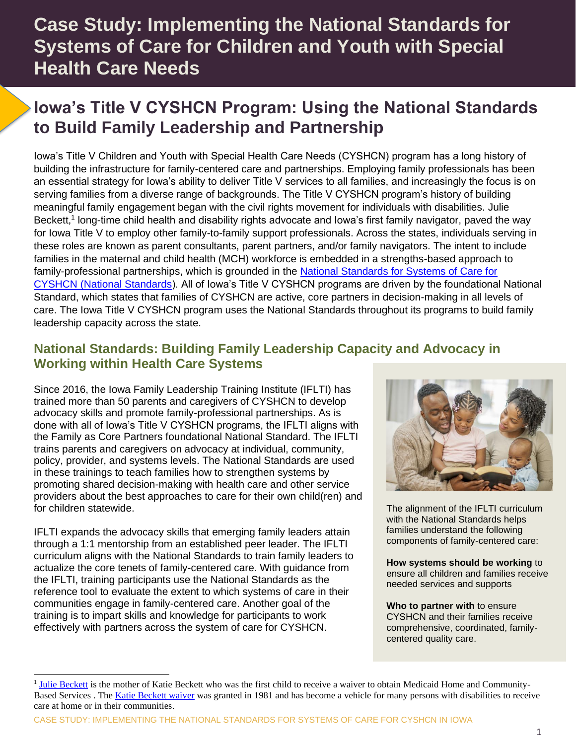# **Case Study: Implementing the National Standards for Systems of Care for Children and Youth with Special Health Care Needs**

## **Iowa's Title V CYSHCN Program: Using the National Standards to Build Family Leadership and Partnership**

Iowa's Title V Children and Youth with Special Health Care Needs (CYSHCN) program has a long history of building the infrastructure for family-centered care and partnerships. Employing family professionals has been an essential strategy for Iowa's ability to deliver Title V services to all families, and increasingly the focus is on serving families from a diverse range of backgrounds. The Title V CYSHCN program's history of building meaningful family engagement began with the civil rights movement for individuals with disabilities. Julie Beckett,<sup>1</sup> long-time child health and disability rights advocate and lowa's first family navigator, paved the way for Iowa Title V to employ other family-to-family support professionals. Across the states, individuals serving in these roles are known as parent consultants, parent partners, and/or family navigators. The intent to include families in the maternal and child health (MCH) workforce is embedded in a strengths-based approach to family-professional partnerships, which is grounded in the [National Standards for Systems of Care for](http://bit.ly/2sRNRDj)  [CYSHCN \(National Standards\)](http://bit.ly/2sRNRDj). All of Iowa's Title V CYSHCN programs are driven by the foundational National Standard, which states that families of CYSHCN are active, core partners in decision-making in all levels of care. The Iowa Title V CYSHCN program uses the National Standards throughout its programs to build family leadership capacity across the state.

#### **National Standards: Building Family Leadership Capacity and Advocacy in Working within Health Care Systems**

Since 2016, the Iowa Family Leadership Training Institute (IFLTI) has trained more than 50 parents and caregivers of CYSHCN to develop advocacy skills and promote family-professional partnerships. As is done with all of Iowa's Title V CYSHCN programs, the IFLTI aligns with the Family as Core Partners foundational National Standard. The IFLTI trains parents and caregivers on advocacy at individual, community, policy, provider, and systems levels. The National Standards are used in these trainings to teach families how to strengthen systems by promoting shared decision-making with health care and other service providers about the best approaches to care for their own child(ren) and for children statewide.

IFLTI expands the advocacy skills that emerging family leaders attain through a 1:1 mentorship from an established peer leader. The IFLTI curriculum aligns with the National Standards to train family leaders to actualize the core tenets of family-centered care. With guidance from the IFLTI, training participants use the National Standards as the reference tool to evaluate the extent to which systems of care in their communities engage in family-centered care. Another goal of the training is to impart skills and knowledge for participants to work effectively with partners across the system of care for CYSHCN.



The alignment of the IFLTI curriculum with the National Standards helps families understand the following components of family-centered care:

**How systems should be working** to ensure all children and families receive needed services and supports

**Who to partner with** to ensure CYSHCN and their families receive comprehensive, coordinated, familycentered quality care.

<sup>&</sup>lt;sup>1</sup> [Julie Beckett](https://familyvoices.org/bod/jbeckett/) is the mother of Katie Beckett who was the first child to receive a waiver to obtain Medicaid Home and Community-Based Services . The [Katie Beckett waiver](https://ciswh.org/project/the-catalyst-center/financing-strategy/medicaid-waivers/) was granted in 1981 and has become a vehicle for many persons with disabilities to receive care at home or in their communities.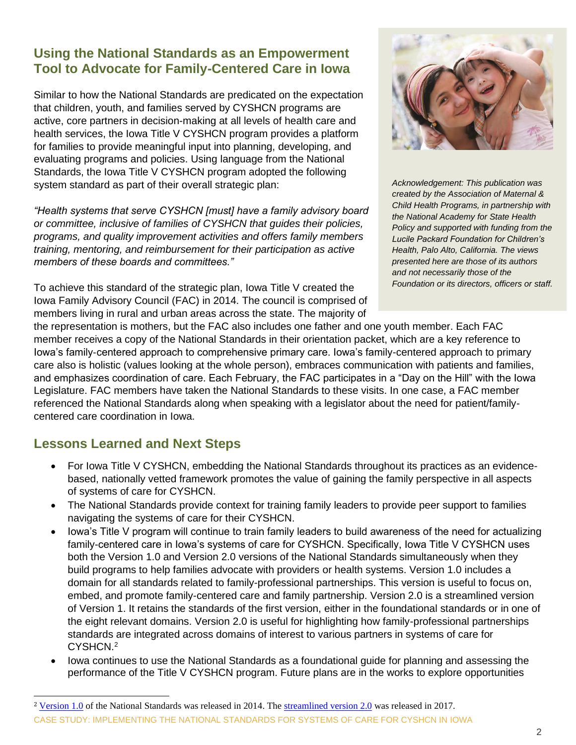### **Using the National Standards as an Empowerment Tool to Advocate for Family-Centered Care in Iowa**

Similar to how the National Standards are predicated on the expectation that children, youth, and families served by CYSHCN programs are active, core partners in decision-making at all levels of health care and health services, the Iowa Title V CYSHCN program provides a platform for families to provide meaningful input into planning, developing, and evaluating programs and policies. Using language from the National Standards, the Iowa Title V CYSHCN program adopted the following system standard as part of their overall strategic plan:

*"Health systems that serve CYSHCN [must] have a family advisory board or committee, inclusive of families of CYSHCN that guides their policies, programs, and quality improvement activities and offers family members training, mentoring, and reimbursement for their participation as active members of these boards and committees."*

To achieve this standard of the strategic plan, Iowa Title V created the Iowa Family Advisory Council (FAC) in 2014. The council is comprised of members living in rural and urban areas across the state. The majority of



*Acknowledgement: This publication was created by the Association of Maternal & Child Health Programs, in partnership with the National Academy for State Health Policy and supported with funding from the Lucile Packard Foundation for Children's Health, Palo Alto, California. The views presented here are those of its authors and not necessarily those of the Foundation or its directors, officers or staff.*

the representation is mothers, but the FAC also includes one father and one youth member. Each FAC member receives a copy of the National Standards in their orientation packet, which are a key reference to Iowa's family‐centered approach to comprehensive primary care. Iowa's family-centered approach to primary care also is holistic (values looking at the whole person), embraces communication with patients and families, and emphasizes coordination of care. Each February, the FAC participates in a "Day on the Hill" with the Iowa Legislature. FAC members have taken the National Standards to these visits. In one case, a FAC member referenced the National Standards along when speaking with a legislator about the need for patient/familycentered care coordination in Iowa.

#### **Lessons Learned and Next Steps**

- For Iowa Title V CYSHCN, embedding the National Standards throughout its practices as an evidencebased, nationally vetted framework promotes the value of gaining the family perspective in all aspects of systems of care for CYSHCN.
- The National Standards provide context for training family leaders to provide peer support to families navigating the systems of care for their CYSHCN.
- Iowa's Title V program will continue to train family leaders to build awareness of the need for actualizing family-centered care in Iowa's systems of care for CYSHCN. Specifically, Iowa Title V CYSHCN uses both the Version 1.0 and Version 2.0 versions of the National Standards simultaneously when they build programs to help families advocate with providers or health systems. Version 1.0 includes a domain for all standards related to family-professional partnerships. This version is useful to focus on, embed, and promote family-centered care and family partnership. Version 2.0 is a streamlined version of Version 1. It retains the standards of the first version, either in the foundational standards or in one of the eight relevant domains. Version 2.0 is useful for highlighting how family-professional partnerships standards are integrated across domains of interest to various partners in systems of care for CYSHCN.<sup>2</sup>
- Iowa continues to use the National Standards as a foundational guide for planning and assessing the performance of the Title V CYSHCN program. Future plans are in the works to explore opportunities

CASE STUDY: IMPLEMENTING THE NATIONAL STANDARDS FOR SYSTEMS OF CARE FOR CYSHCN IN IOWA <sup>2</sup> [Version 1.0](http://www.amchp.org/programsandtopics/CYSHCN/Documents/Standards%20Charts%20FINAL.pdf) of the National Standards was released in 2014. The [streamlined version 2.0](http://www.amchp.org/programsandtopics/CYSHCN/Documents/Standards%20for%20Systems%20of%20Care%20for%20Children%20and%20Youth%20with%20Special%20Health%20Care%20Needs%20Version%202.0.pdf) was released in 2017.